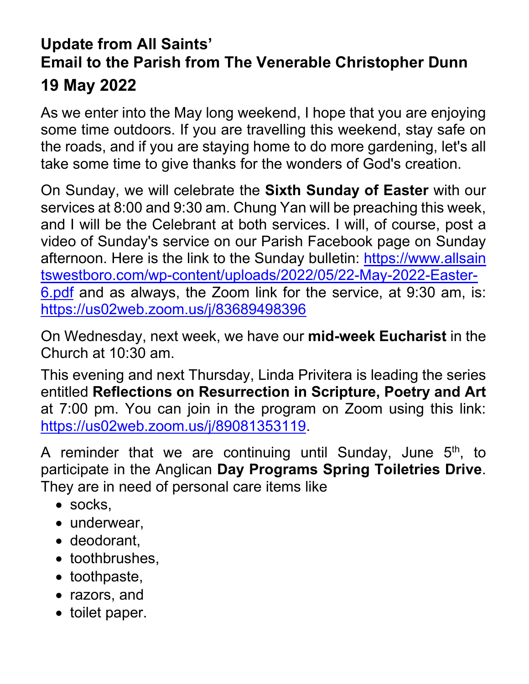## **Update from All Saints' Email to the Parish from The Venerable Christopher Dunn 19 May 2022**

As we enter into the May long weekend, I hope that you are enjoying some time outdoors. If you are travelling this weekend, stay safe on the roads, and if you are staying home to do more gardening, let's all take some time to give thanks for the wonders of God's creation.

On Sunday, we will celebrate the **Sixth Sunday of Easter** with our services at 8:00 and 9:30 am. Chung Yan will be preaching this week, and I will be the Celebrant at both services. I will, of course, post a video of Sunday's service on our Parish Facebook page on Sunday afternoon. Here is the link to the Sunday bulletin: [https://www.allsain](https://www.allsaintswestboro.com/wp-content/uploads/2022/05/22-May-2022-Easter-6.pdf) [tswestboro.com/wp-content/uploads/2022/05/22-May-2022-Easter-](https://www.allsaintswestboro.com/wp-content/uploads/2022/05/22-May-2022-Easter-6.pdf)[6.pdf](https://www.allsaintswestboro.com/wp-content/uploads/2022/05/22-May-2022-Easter-6.pdf) and as always, the Zoom link for the service, at 9:30 am, is: <https://us02web.zoom.us/j/83689498396>

On Wednesday, next week, we have our **mid-week Eucharist** in the Church at 10:30 am.

This evening and next Thursday, Linda Privitera is leading the series entitled **Reflections on Resurrection in Scripture, Poetry and Art** at 7:00 pm. You can join in the program on Zoom using this link: [https://us02web.zoom.us/j/89081353119.](https://us02web.zoom.us/j/89081353119)

A reminder that we are continuing until Sunday, June  $5<sup>th</sup>$ , to participate in the Anglican **Day Programs Spring Toiletries Drive**. They are in need of personal care items like

- socks,
- underwear,
- deodorant,
- toothbrushes,
- toothpaste,
- razors, and
- toilet paper.